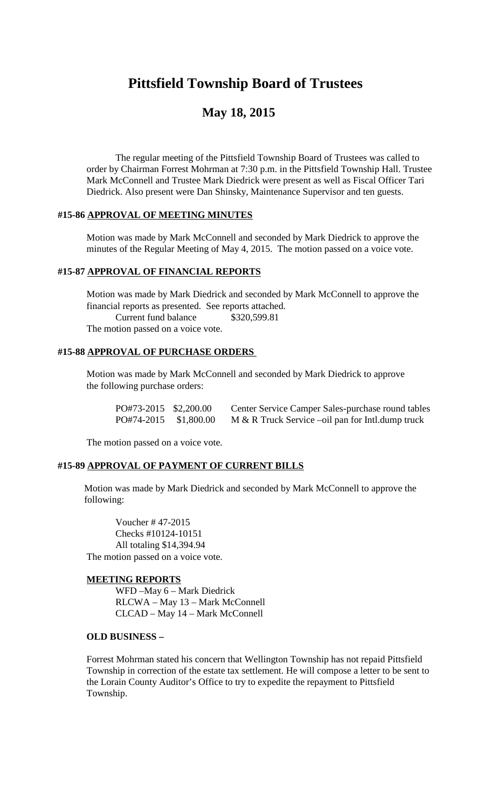# **Pittsfield Township Board of Trustees**

## **May 18, 2015**

The regular meeting of the Pittsfield Township Board of Trustees was called to order by Chairman Forrest Mohrman at 7:30 p.m. in the Pittsfield Township Hall. Trustee Mark McConnell and Trustee Mark Diedrick were present as well as Fiscal Officer Tari Diedrick. Also present were Dan Shinsky, Maintenance Supervisor and ten guests.

## **#15-86 APPROVAL OF MEETING MINUTES**

Motion was made by Mark McConnell and seconded by Mark Diedrick to approve the minutes of the Regular Meeting of May 4, 2015. The motion passed on a voice vote.

#### **#15-87 APPROVAL OF FINANCIAL REPORTS**

Motion was made by Mark Diedrick and seconded by Mark McConnell to approve the financial reports as presented. See reports attached. Current fund balance \$320,599.81 The motion passed on a voice vote.

## **#15-88 APPROVAL OF PURCHASE ORDERS**

Motion was made by Mark McConnell and seconded by Mark Diedrick to approve the following purchase orders:

| PO#73-2015 \$2,200.00 | Center Service Camper Sales-purchase round tables  |
|-----------------------|----------------------------------------------------|
| PO#74-2015 \$1,800.00 | $M & R$ Truck Service –oil pan for Intl.dump truck |

The motion passed on a voice vote.

### **#15-89 APPROVAL OF PAYMENT OF CURRENT BILLS**

Motion was made by Mark Diedrick and seconded by Mark McConnell to approve the following:

Voucher # 47-2015 Checks #10124-10151 All totaling \$14,394.94 The motion passed on a voice vote.

#### **MEETING REPORTS**

WFD –May 6 – Mark Diedrick RLCWA – May 13 – Mark McConnell CLCAD – May 14 – Mark McConnell

#### **OLD BUSINESS –**

Forrest Mohrman stated his concern that Wellington Township has not repaid Pittsfield Township in correction of the estate tax settlement. He will compose a letter to be sent to the Lorain County Auditor's Office to try to expedite the repayment to Pittsfield Township.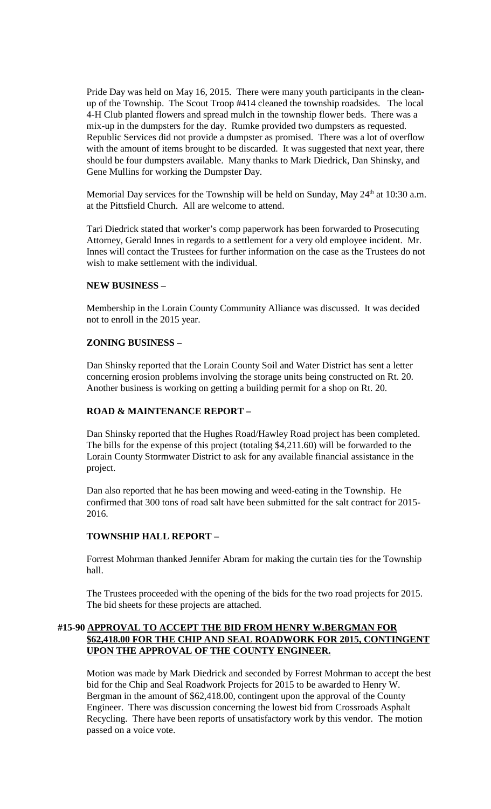Pride Day was held on May 16, 2015. There were many youth participants in the cleanup of the Township. The Scout Troop #414 cleaned the township roadsides. The local 4-H Club planted flowers and spread mulch in the township flower beds. There was a mix-up in the dumpsters for the day. Rumke provided two dumpsters as requested. Republic Services did not provide a dumpster as promised. There was a lot of overflow with the amount of items brought to be discarded. It was suggested that next year, there should be four dumpsters available. Many thanks to Mark Diedrick, Dan Shinsky, and Gene Mullins for working the Dumpster Day.

Memorial Day services for the Township will be held on Sunday, May  $24<sup>th</sup>$  at 10:30 a.m. at the Pittsfield Church. All are welcome to attend.

Tari Diedrick stated that worker's comp paperwork has been forwarded to Prosecuting Attorney, Gerald Innes in regards to a settlement for a very old employee incident. Mr. Innes will contact the Trustees for further information on the case as the Trustees do not wish to make settlement with the individual.

#### **NEW BUSINESS –**

Membership in the Lorain County Community Alliance was discussed. It was decided not to enroll in the 2015 year.

#### **ZONING BUSINESS –**

Dan Shinsky reported that the Lorain County Soil and Water District has sent a letter concerning erosion problems involving the storage units being constructed on Rt. 20. Another business is working on getting a building permit for a shop on Rt. 20.

## **ROAD & MAINTENANCE REPORT –**

Dan Shinsky reported that the Hughes Road/Hawley Road project has been completed. The bills for the expense of this project (totaling \$4,211.60) will be forwarded to the Lorain County Stormwater District to ask for any available financial assistance in the project.

Dan also reported that he has been mowing and weed-eating in the Township. He confirmed that 300 tons of road salt have been submitted for the salt contract for 2015- 2016.

## **TOWNSHIP HALL REPORT –**

Forrest Mohrman thanked Jennifer Abram for making the curtain ties for the Township hall.

The Trustees proceeded with the opening of the bids for the two road projects for 2015. The bid sheets for these projects are attached.

## **#15-90 APPROVAL TO ACCEPT THE BID FROM HENRY W.BERGMAN FOR \$62,418.00 FOR THE CHIP AND SEAL ROADWORK FOR 2015, CONTINGENT UPON THE APPROVAL OF THE COUNTY ENGINEER.**

Motion was made by Mark Diedrick and seconded by Forrest Mohrman to accept the best bid for the Chip and Seal Roadwork Projects for 2015 to be awarded to Henry W. Bergman in the amount of \$62,418.00, contingent upon the approval of the County Engineer. There was discussion concerning the lowest bid from Crossroads Asphalt Recycling. There have been reports of unsatisfactory work by this vendor. The motion passed on a voice vote.